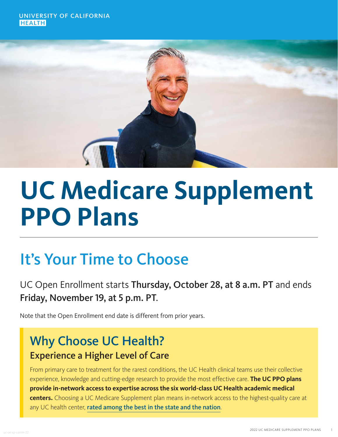UNIVERSITY OF CALIFORNIA **HEAITH** 



# **UC Medicare Supplement PPO Plans**

## It's Your Time to Choose

## UC Open Enrollment starts Thursday, October 28, at 8 a.m. PT and ends Friday, November 19, at 5 p.m. PT.

Note that the Open Enrollment end date is different from prior years.

## Why Choose UC Health? Experience a Higher Level of Care

From primary care to treatment for the rarest conditions, the UC Health clinical teams use their collective experience, knowledge and cutting-edge research to provide the most effective care. **The UC PPO plans provide in-network access to expertise across the six world-class UC Health academic medical centers.** Choosing a UC Medicare Supplement plan means in-network access to the highest-quality care at any UC health center, [rated among the best in the state and the nation](https://health.usnews.com/best-hospitals).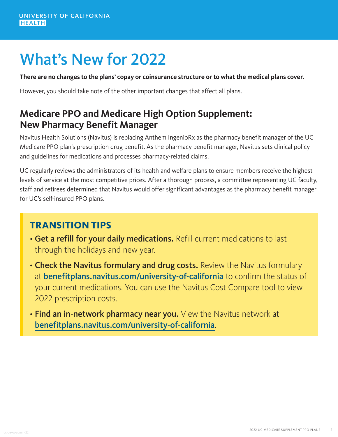## What's New for 2022

**There are no changes to the plans' copay or coinsurance structure or to what the medical plans cover.**

However, you should take note of the other important changes that affect all plans.

## **Medicare PPO and Medicare High Option Supplement: New Pharmacy Benefit Manager**

Navitus Health Solutions (Navitus) is replacing Anthem IngenioRx as the pharmacy benefit manager of the UC Medicare PPO plan's prescription drug benefit. As the pharmacy benefit manager, Navitus sets clinical policy and guidelines for medications and processes pharmacy-related claims.

UC regularly reviews the administrators of its health and welfare plans to ensure members receive the highest levels of service at the most competitive prices. After a thorough process, a committee representing UC faculty, staff and retirees determined that Navitus would offer significant advantages as the pharmacy benefit manager for UC's self-insured PPO plans.

#### **TRANSITION TIPS**

- Get a refill for your daily medications. Refill current medications to last through the holidays and new year.
- Check the Navitus formulary and drug costs. Review the Navitus formulary at [benefitplans.navitus.com/university-of-california](https://benefitplans.navitus.com/university-of-california) to confirm the status of your current medications. You can use the Navitus Cost Compare tool to view 2022 prescription costs.
- Find an in-network pharmacy near you. View the Navitus network at [benefitplans.navitus.com/university-of-california](https://benefitplans.navitus.com/university-of-california).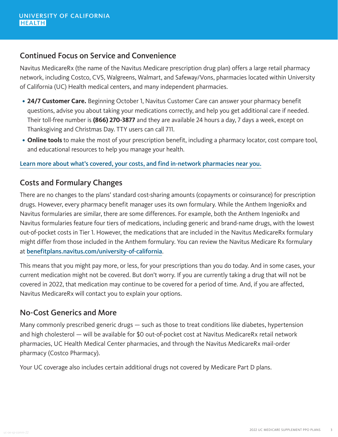#### Continued Focus on Service and Convenience

Navitus MedicareRx (the name of the Navitus Medicare prescription drug plan) offers a large retail pharmacy network, including Costco, CVS, Walgreens, Walmart, and Safeway/Vons, pharmacies located within University of California (UC) Health medical centers, and many independent pharmacies.

- **24/7 Customer Care.** Beginning October 1, Navitus Customer Care can answer your pharmacy benefit questions, advise you about taking your medications correctly, and help you get additional care if needed. Their toll-free number is **(866) 270-3877** and they are available 24 hours a day, 7 days a week, except on Thanksgiving and Christmas Day. TTY users can call 711.
- **Online tools** to make the most of your prescription benefit, including a pharmacy locator, cost compare tool, and educational resources to help you manage your health.

[Learn more about what's covered, your costs, and find in-network pharmacies near you.](https://benefitplans.navitus.com/university-of-california)

#### Costs and Formulary Changes

There are no changes to the plans' standard cost-sharing amounts (copayments or coinsurance) for prescription drugs. However, every pharmacy benefit manager uses its own formulary. While the Anthem IngenioRx and Navitus formularies are similar, there are some differences. For example, both the Anthem IngenioRx and Navitus formularies feature four tiers of medications, including generic and brand-name drugs, with the lowest out-of-pocket costs in Tier 1. However, the medications that are included in the Navitus MedicareRx formulary might differ from those included in the Anthem formulary. You can review the Navitus Medicare Rx formulary at [benefitplans.navitus.com/university-of-california](https://benefitplans.navitus.com/university-of-california).

This means that you might pay more, or less, for your prescriptions than you do today. And in some cases, your current medication might not be covered. But don't worry. If you are currently taking a drug that will not be covered in 2022, that medication may continue to be covered for a period of time. And, if you are affected, Navitus MedicareRx will contact you to explain your options.

#### No-Cost Generics and More

Many commonly prescribed generic drugs — such as those to treat conditions like diabetes, hypertension and high cholesterol — will be available for \$0 out-of-pocket cost at Navitus MedicareRx retail network pharmacies, UC Health Medical Center pharmacies, and through the Navitus MedicareRx mail-order pharmacy (Costco Pharmacy).

Your UC coverage also includes certain additional drugs not covered by Medicare Part D plans.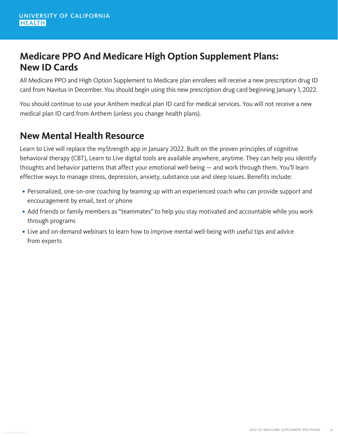### **Medicare PPO And Medicare High Option Supplement Plans: New ID Cards**

All Medicare PPO and High Option Supplement to Medicare plan enrollees will receive a new prescription drug ID card from Navitus in December. You should begin using this new prescription drug card beginning January 1, 2022.

You should continue to use your Anthem medical plan ID card for medical services. You will not receive a new medical plan ID card from Anthem (unless you change health plans).

### **New Mental Health Resource**

Learn to Live will replace the myStrength app in January 2022. Built on the proven principles of cognitive behavioral therapy (CBT), Learn to Live digital tools are available anywhere, anytime. They can help you identify thoughts and behavior patterns that affect your emotional well-being — and work through them. You'll learn effective ways to manage stress, depression, anxiety, substance use and sleep issues. Benefits include:

- Personalized, one-on-one coaching by teaming up with an experienced coach who can provide support and encouragement by email, text or phone
- Add friends or family members as "teammates" to help you stay motivated and accountable while you work through programs
- Live and on-demand webinars to learn how to improve mental well-being with useful tips and advice from experts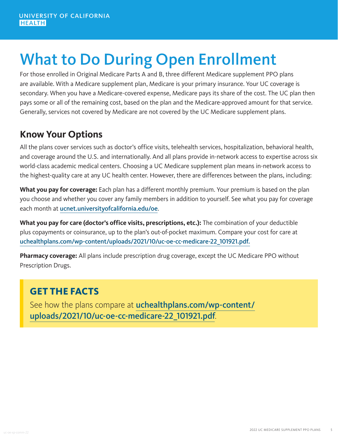## What to Do During Open Enrollment

For those enrolled in Original Medicare Parts A and B, three different Medicare supplement PPO plans are available. With a Medicare supplement plan, Medicare is your primary insurance. Your UC coverage is secondary. When you have a Medicare-covered expense, Medicare pays its share of the cost. The UC plan then pays some or all of the remaining cost, based on the plan and the Medicare-approved amount for that service. Generally, services not covered by Medicare are not covered by the UC Medicare supplement plans.

### **Know Your Options**

All the plans cover services such as doctor's office visits, telehealth services, hospitalization, behavioral health, and coverage around the U.S. and internationally. And all plans provide in-network access to expertise across six world-class academic medical centers. Choosing a UC Medicare supplement plan means in-network access to the highest-quality care at any UC health center. However, there are differences between the plans, including:

**What you pay for coverage:** Each plan has a different monthly premium. Your premium is based on the plan you choose and whether you cover any family members in addition to yourself. See what you pay for coverage each month at [ucnet.universityofcalifornia.edu/oe](https://ucnet.universityofcalifornia.edu/oe/).

**What you pay for care (doctor's office visits, prescriptions, etc.):** The combination of your deductible plus copayments or coinsurance, up to the plan's out-of-pocket maximum. Compare your cost for care at [uchealthplans.com/wp-content/uploads/2021/10/uc-oe-cc-medicare-22\\_101921.pdf](https://uchealthplans.com/wp-content/uploads/2021/10/uc-oe-cc-medicare-22_101921.pdf)[.](https://uchealthplans.com/wp-content/uploads/2021/09/uc-oe-comp-chart-medicare-22-r01vA-2.pdf)

**Pharmacy coverage:** All plans include prescription drug coverage, except the UC Medicare PPO without Prescription Drugs.

## **GET THE FACTS**

See how the plans compare at [uchealthplans.com/wp-content/](https://uchealthplans.com/wp-content/uploads/2021/10/uc-oe-cc-medicare-22_101921.pdf) [uploads/2021/10/uc-oe-cc-medicare-22\\_101921.pdf](https://uchealthplans.com/wp-content/uploads/2021/10/uc-oe-cc-medicare-22_101921.pdf).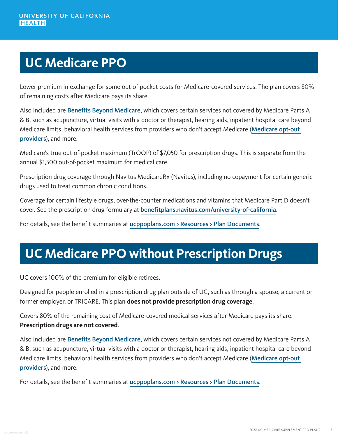## **UC Medicare PPO**

Lower premium in exchange for some out-of-pocket costs for Medicare-covered services. The plan covers 80% of remaining costs after Medicare pays its share.

Also included are [Benefits Beyond Medicare](https://www.ucppoplans.com/medrx/about-the-plan/medical-benefits/how-the-plan-works#Benefits
), which covers certain services not covered by Medicare Parts A & B, such as acupuncture, virtual visits with a doctor or therapist, hearing aids, inpatient hospital care beyond Medicare limits, behavioral health services from providers who don't accept Medicare ([Medicare opt-out](https://www.ucppoplans.com/medrx/get-care/find-a-provider#NotAllProviders)  [providers](https://www.ucppoplans.com/medrx/get-care/find-a-provider#NotAllProviders)), and more.

Medicare's true out-of-pocket maximum (TrOOP) of \$7,050 for prescription drugs. This is separate from the annual \$1,500 out-of-pocket maximum for medical care.

Prescription drug coverage through Navitus MedicareRx (Navitus), including no copayment for certain generic drugs used to treat common chronic conditions.

Coverage for certain lifestyle drugs, over-the-counter medications and vitamins that Medicare Part D doesn't cover. See the prescription drug formulary at [benefitplans.navitus.com/university-of-california](https://benefitplans.navitus.com/university-of-california).

For details, see the benefit summaries at [ucppoplans.com > Resources > Plan Documents](https://www.ucppoplans.com/resources/plan-documents/uc-medicare-ppo).

## **UC Medicare PPO without Prescription Drugs**

UC covers 100% of the premium for eligible retirees.

Designed for people enrolled in a prescription drug plan outside of UC, such as through a spouse, a current or former employer, or TRICARE. This plan **does not provide prescription drug coverage**.

Covers 80% of the remaining cost of Medicare-covered medical services after Medicare pays its share. **Prescription drugs are not covered**.

Also included are [Benefits Beyond Medicare](https://www.ucppoplans.com/mednorx/about-the-plan/medical-benefits/how-the-plan-works#Benefits
), which covers certain services not covered by Medicare Parts A & B, such as acupuncture, virtual visits with a doctor or therapist, hearing aids, inpatient hospital care beyond Medicare limits, behavioral health services from providers who don't accept Medicare (Medicare opt-out [providers](https://www.ucppoplans.com/mednorx/get-care/find-a-provider#NotAllProviders)), and more.

For details, see the benefit summaries at [ucppoplans.com > Resources > Plan Documents](https://www.ucppoplans.com/resources/plan-documents/uc-medicare-ppo-without-prescription-drugs).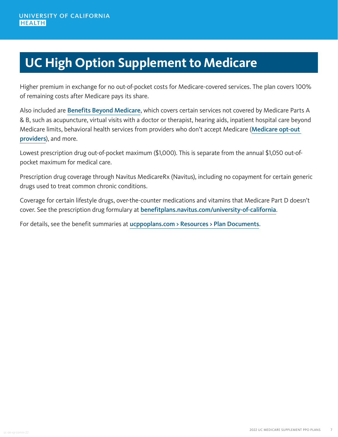## **UC High Option Supplement to Medicare**

Higher premium in exchange for no out-of-pocket costs for Medicare-covered services. The plan covers 100% of remaining costs after Medicare pays its share.

Also included are [Benefits Beyond Medicare](https://www.ucppoplans.com/high/about-the-plan/medical-benefits/how-the-plan-works#Benefits
), which covers certain services not covered by Medicare Parts A & B, such as acupuncture, virtual visits with a doctor or therapist, hearing aids, inpatient hospital care beyond Medicare limits, behavioral health services from providers who don't accept Medicare (Medicare opt-out [providers](https://www.ucppoplans.com/high/get-care/find-a-provider#NotAllProviders)), and more.

Lowest prescription drug out-of-pocket maximum (\$1,000). This is separate from the annual \$1,050 out-ofpocket maximum for medical care.

Prescription drug coverage through Navitus MedicareRx (Navitus), including no copayment for certain generic drugs used to treat common chronic conditions.

Coverage for certain lifestyle drugs, over-the-counter medications and vitamins that Medicare Part D doesn't cover. See the prescription drug formulary at [benefitplans.navitus.com/university-of-california](https://benefitplans.navitus.com/university-of-california).

For details, see the benefit summaries at [ucppoplans.com > Resources > Plan Documents](https://www.ucppoplans.com/resources/plan-documents/uc-high-option-supplement-medicare).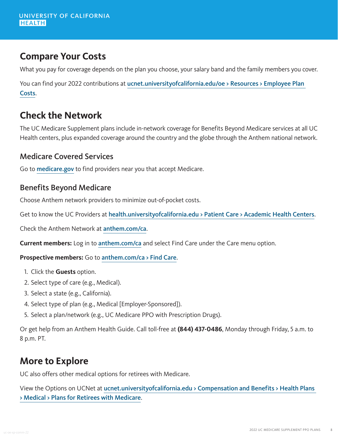## **Compare Your Costs**

What you pay for coverage depends on the plan you choose, your salary band and the family members you cover.

You can find your 2022 contributions at ucnet.universityofcalifornia.edu/oe > Resources > Employee Plan [Costs](https://ucnet.universityofcalifornia.edu/oe/medical-plans/faculty-staff/plan-costs.html).

### **Check the Network**

The UC Medicare Supplement plans include in-network coverage for Benefits Beyond Medicare services at all UC Health centers, plus expanded coverage around the country and the globe through the Anthem national network.

#### Medicare Covered Services

Go to **[medicare.gov](https://www.medicare.gov/)** to find providers near you that accept Medicare.

#### Benefits Beyond Medicare

Choose Anthem network providers to minimize out-of-pocket costs.

Get to know the UC Providers at [health.universityofcalifornia.edu > Patient Care > Academic Health Centers](https://health.universityofcalifornia.edu/patient-care/academic-health-centers).

Check the Anthem Network at [anthem.com/ca](https://www.anthem.com/ca).

**Current members:** Log in to [anthem.com/ca](https://www.anthem.com/ca) and select Find Care under the Care menu option.

**Prospective members:** Go to [anthem.com/ca > Find Care](https://www.anthem.com/ca/find-care/).

- 1. Click the **Guests** option.
- 2. Select type of care (e.g., Medical).
- 3. Select a state (e.g., California).
- 4. Select type of plan (e.g., Medical [Employer-Sponsored]).
- 5. Select a plan/network (e.g., UC Medicare PPO with Prescription Drugs).

Or get help from an Anthem Health Guide. Call toll-free at **(844) 437-0486**, Monday through Friday, 5 a.m. to 8 p.m. PT.

#### **More to Explore**

UC also offers other medical options for retirees with Medicare.

View the Options on UCNet at [ucnet.universityofcalifornia.edu > Compensation and Benefits > Health Plans](https://ucnet.universityofcalifornia.edu/compensation-and-benefits/health-plans/medical/medicare/index.html)  [> Medical > Plans for Retirees with Medicare](https://ucnet.universityofcalifornia.edu/compensation-and-benefits/health-plans/medical/medicare/index.html).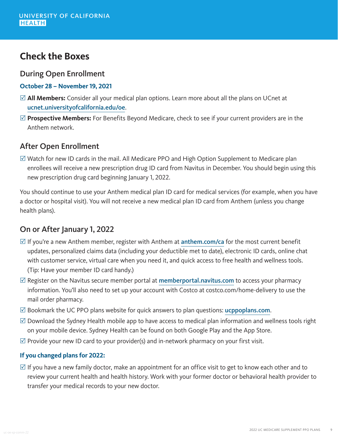### **Check the Boxes**

#### During Open Enrollment

- **October 28 November 19, 2021**
- ⊠ **All Members:** Consider all your medical plan options. Learn more about all the plans on UCnet at [ucnet.universityofcalifornia.edu/oe](https://ucnet.universityofcalifornia.edu/oe/).
- ⊠ **Prospective Members:** For Benefits Beyond Medicare, check to see if your current providers are in the Anthem network.

#### After Open Enrollment

 $\boxtimes$  Watch for new ID cards in the mail. All Medicare PPO and High Option Supplement to Medicare plan enrollees will receive a new prescription drug ID card from Navitus in December. You should begin using this new prescription drug card beginning January 1, 2022.

You should continue to use your Anthem medical plan ID card for medical services (for example, when you have a doctor or hospital visit). You will not receive a new medical plan ID card from Anthem (unless you change health plans).

#### On or After January 1, 2022

- $\mathbb Z$  If you're a new Anthem member, register with Anthem at [anthem.com/ca](http://www.anthem.com/ca) for the most current benefit updates, personalized claims data (including your deductible met to date), electronic ID cards, online chat with customer service, virtual care when you need it, and quick access to free health and wellness tools. (Tip: Have your member ID card handy.)
- $\mathbb Z$  Register on the Navitus secure member portal at [memberportal.navitus.com](https://memberportal.navitus.com/landing) to access your pharmacy information. You'll also need to set up your account with Costco at costco.com/home-delivery to use the mail order pharmacy.
- $\boxtimes$  Bookmark the UC PPO plans website for quick answers to plan questions: [ucppoplans.com](https://www.ucppoplans.com/).
- $\boxtimes$  Download the Sydney Health mobile app to have access to medical plan information and wellness tools right on your mobile device. Sydney Health can be found on both Google Play and the App Store.
- $\mathbb Z$  Provide your new ID card to your provider(s) and in-network pharmacy on your first visit.

#### **If you changed plans for 2022:**

 $\boxtimes$  If you have a new family doctor, make an appointment for an office visit to get to know each other and to review your current health and health history. Work with your former doctor or behavioral health provider to transfer your medical records to your new doctor.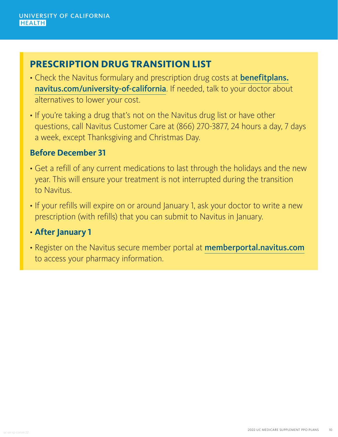## **PRESCRIPTION DRUG TRANSITION LIST**

- Check the Navitus formulary and prescription drug costs at **[benefitplans.](https://benefitplans.navitus.com/university-of-california)** [navitus.com/university-of-california](https://benefitplans.navitus.com/university-of-california). If needed, talk to your doctor about alternatives to lower your cost.
- If you're taking a drug that's not on the Navitus drug list or have other questions, call Navitus Customer Care at (866) 270-3877, 24 hours a day, 7 days a week, except Thanksgiving and Christmas Day.

#### **Before December 31**

- Get a refill of any current medications to last through the holidays and the new year. This will ensure your treatment is not interrupted during the transition to Navitus.
- If your refills will expire on or around January 1, ask your doctor to write a new prescription (with refills) that you can submit to Navitus in January.

#### • **After January 1**

• Register on the Navitus secure member portal at [memberportal.navitus.com](https://memberportal.navitus.com/landing) to access your pharmacy information.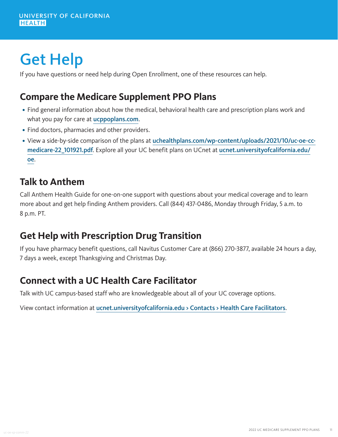## Get Help

If you have questions or need help during Open Enrollment, one of these resources can help.

## **Compare the Medicare Supplement PPO Plans**

- Find general information about how the medical, behavioral health care and prescription plans work and what you pay for care at [ucppoplans.com](https://www.ucppoplans.com/).
- Find doctors, pharmacies and other providers.
- View a side-by-side comparison of the plans at [uchealthplans.com/wp-content/uploads/2021/10/uc-oe-cc](https://uchealthplans.com/wp-content/uploads/2021/10/uc-oe-cc-medicare-22_101921.pdf)[medicare-22\\_101921.pdf](https://uchealthplans.com/wp-content/uploads/2021/10/uc-oe-cc-medicare-22_101921.pdf). Explore all your UC benefit plans on UCnet at [ucnet.universityofcalifornia.edu/](https://ucnet.universityofcalifornia.edu/oe/) [oe](https://ucnet.universityofcalifornia.edu/oe/).

#### **Talk to Anthem**

Call Anthem Health Guide for one-on-one support with questions about your medical coverage and to learn more about and get help finding Anthem providers. Call (844) 437-0486, Monday through Friday, 5 a.m. to 8 p.m. PT.

## **Get Help with Prescription Drug Transition**

If you have pharmacy benefit questions, call Navitus Customer Care at (866) 270-3877, available 24 hours a day, 7 days a week, except Thanksgiving and Christmas Day.

## **Connect with a UC Health Care Facilitator**

Talk with UC campus-based staff who are knowledgeable about all of your UC coverage options.

View contact information at [ucnet.universityofcalifornia.edu > Contacts > Health Care Facilitators](https://ucnet.universityofcalifornia.edu/contacts/health-care-facilitators.html).